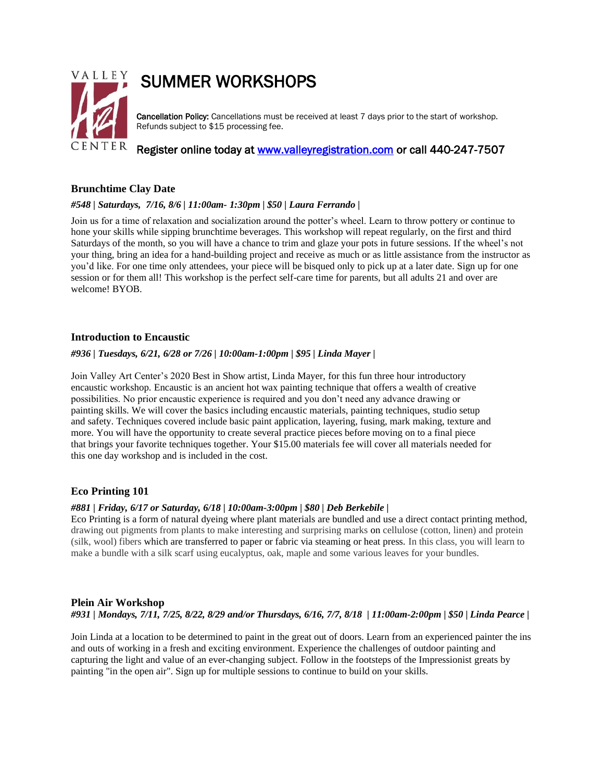

# SUMMER WORKSHOPS

Cancellation Policy: Cancellations must be received at least 7 days prior to the start of workshop. Refunds subject to \$15 processing fee.

Register online today at [www.valleyregistration.com](http://www.valleyregistration.com/) or call 440-247-7507

# **Brunchtime Clay Date**

## *#548 | Saturdays, 7/16, 8/6 | 11:00am- 1:30pm | \$50 | Laura Ferrando |*

Join us for a time of relaxation and socialization around the potter's wheel. Learn to throw pottery or continue to hone your skills while sipping brunchtime beverages. This workshop will repeat regularly, on the first and third Saturdays of the month, so you will have a chance to trim and glaze your pots in future sessions. If the wheel's not your thing, bring an idea for a hand-building project and receive as much or as little assistance from the instructor as you'd like. For one time only attendees, your piece will be bisqued only to pick up at a later date. Sign up for one session or for them all! This workshop is the perfect self-care time for parents, but all adults 21 and over are welcome! BYOB.

## **Introduction to Encaustic**

#### *#936 | Tuesdays, 6/21, 6/28 or 7/26 | 10:00am-1:00pm | \$95 | Linda Mayer |*

Join Valley Art Center's 2020 Best in Show artist, Linda Mayer, for this fun three hour introductory encaustic workshop. Encaustic is an ancient hot wax painting technique that offers a wealth of creative possibilities. No prior encaustic experience is required and you don't need any advance drawing or painting skills. We will cover the basics including encaustic materials, painting techniques, studio setup and safety. Techniques covered include basic paint application, layering, fusing, mark making, texture and more. You will have the opportunity to create several practice pieces before moving on to a final piece that brings your favorite techniques together. Your \$15.00 materials fee will cover all materials needed for this one day workshop and is included in the cost.

## **Eco Printing 101**

#### *#881 | Friday, 6/17 or Saturday, 6/18 | 10:00am-3:00pm | \$80 | Deb Berkebile |*

Eco Printing is a form of natural dyeing where plant materials are bundled and use a direct contact printing method, drawing out pigments from plants to make interesting and surprising marks on cellulose (cotton, linen) and protein (silk, wool) fibers which are transferred to paper or fabric via steaming or heat press. In this class, you will learn to make a bundle with a silk scarf using eucalyptus, oak, maple and some various leaves for your bundles.

## **Plein Air Workshop**

## *#931 | Mondays, 7/11, 7/25, 8/22, 8/29 and/or Thursdays, 6/16, 7/7, 8/18 | 11:00am-2:00pm | \$50 | Linda Pearce |*

Join Linda at a location to be determined to paint in the great out of doors. Learn from an experienced painter the ins and outs of working in a fresh and exciting environment. Experience the challenges of outdoor painting and capturing the light and value of an ever-changing subject. Follow in the footsteps of the Impressionist greats by painting "in the open air". Sign up for multiple sessions to continue to build on your skills.